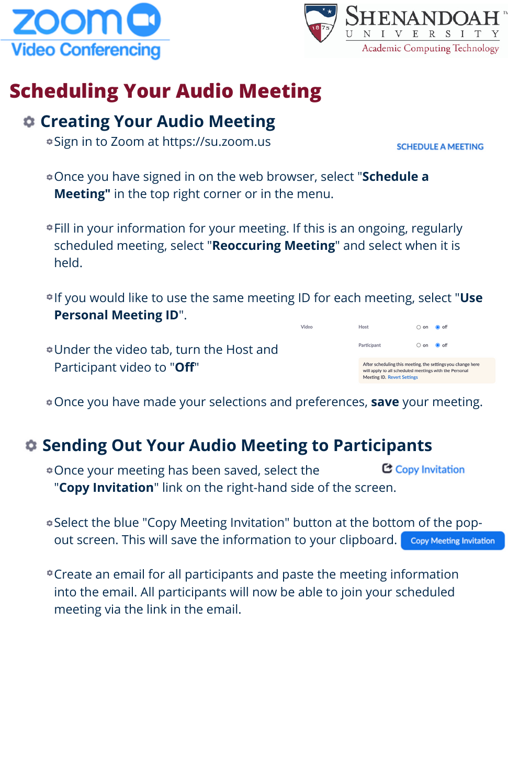



## **Scheduling Your Audio Meeting**

#### **Creating Your Audio Meeting**

- Sign in to Zoom at https://su.zoom.us
- Once you have signed in on the web browser, select "**Schedule a Meeting"** in the top right corner or in the menu.
- Fill in your information for your meeting. If this is an ongoing, regularly scheduled meeting, select "**Reoccuring Meeting**" and select when it is held.
- If you would like to use the same meeting ID for each meeting, select "**Use Personal Meeting ID**".

Video

Under the video tab, turn the Host and Participant video to "**Off**"

Once you have made your selections and preferences, **save** your meeting.

## **Sending Out Your Audio Meeting to Participants**

- C Copy Invitation Once your meeting has been saved, select the "**Copy Invitation**" link on the right-hand side of the screen.
- Select the blue "Copy Meeting Invitation" button at the bottom of the popout screen. This will save the information to your clipboard. Copy Meeting Invitation
- Create an email for all participants and paste the meeting information into the email. All participants will now be able to join your scheduled meeting via the link in the email.

**SCHEDULE A MEETING**